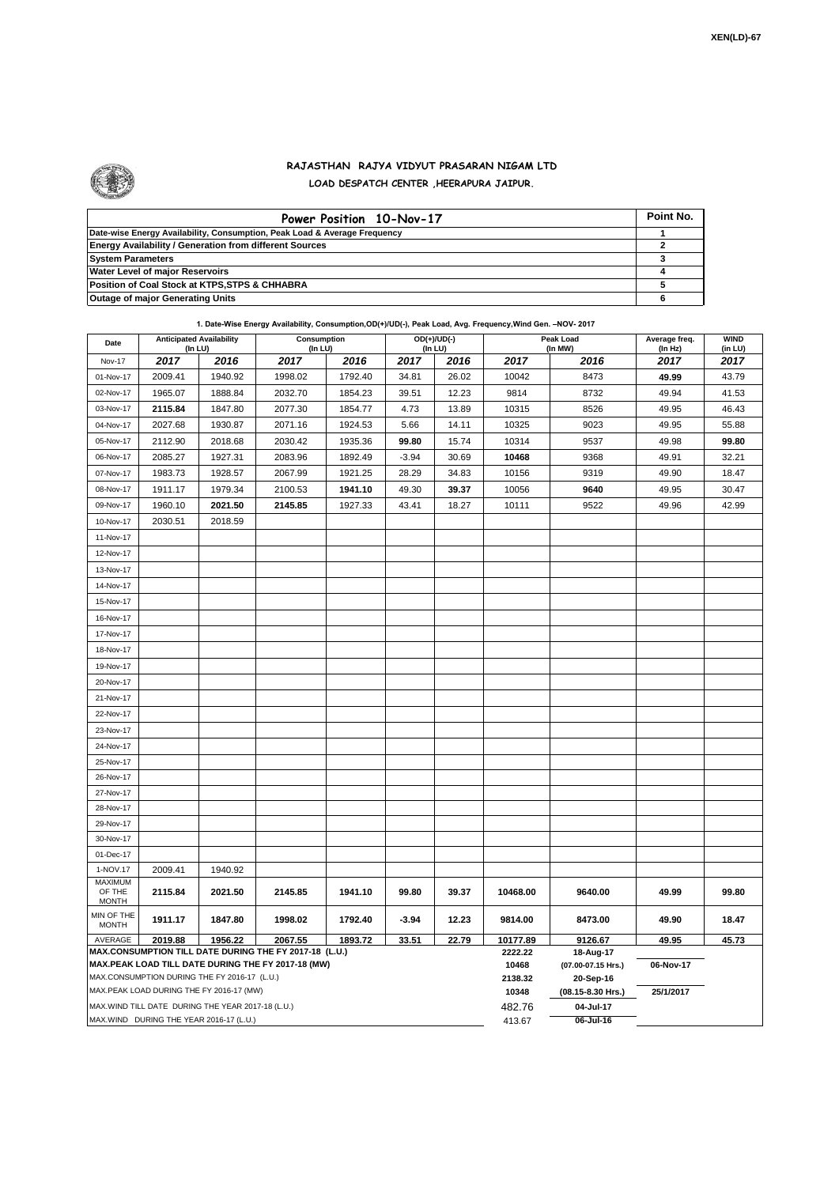

## **RAJASTHAN RAJYA VIDYUT PRASARAN NIGAM LTD LOAD DESPATCH CENTER ,HEERAPURA JAIPUR.**

| Power Position 10-Nov-17                                                  | Point No. |
|---------------------------------------------------------------------------|-----------|
| Date-wise Energy Availability, Consumption, Peak Load & Average Frequency |           |
| <b>Energy Availability / Generation from different Sources</b>            |           |
| <b>System Parameters</b>                                                  |           |
| <b>Water Level of major Reservoirs</b>                                    |           |
| Position of Coal Stock at KTPS, STPS & CHHABRA                            |           |
| <b>Outage of major Generating Units</b>                                   |           |

**1. Date-Wise Energy Availability, Consumption,OD(+)/UD(-), Peak Load, Avg. Frequency,Wind Gen. –NOV- 2017**

| Date                                              | <b>Anticipated Availability</b><br>(In LU)   |         | Consumption<br>(In LU)                                                                                       |         |         | OD(+)/UD(-)<br>(In LU) |                  | Peak Load<br>(In MW)            | Average freq.<br>(In Hz) | <b>WIND</b><br>(in LU) |
|---------------------------------------------------|----------------------------------------------|---------|--------------------------------------------------------------------------------------------------------------|---------|---------|------------------------|------------------|---------------------------------|--------------------------|------------------------|
| Nov-17                                            | 2017                                         | 2016    | 2017                                                                                                         | 2016    | 2017    | 2016                   | 2017             | 2016                            | 2017                     | 2017                   |
| 01-Nov-17                                         | 2009.41                                      | 1940.92 | 1998.02                                                                                                      | 1792.40 | 34.81   | 26.02                  | 10042            | 8473                            | 49.99                    | 43.79                  |
| 02-Nov-17                                         | 1965.07                                      | 1888.84 | 2032.70                                                                                                      | 1854.23 | 39.51   | 12.23                  | 9814             | 8732                            | 49.94                    | 41.53                  |
| 03-Nov-17                                         | 2115.84                                      | 1847.80 | 2077.30                                                                                                      | 1854.77 | 4.73    | 13.89                  | 10315            | 8526                            | 49.95                    | 46.43                  |
| 04-Nov-17                                         | 2027.68                                      | 1930.87 | 2071.16                                                                                                      | 1924.53 | 5.66    | 14.11                  | 10325            | 9023                            | 49.95                    | 55.88                  |
| 05-Nov-17                                         | 2112.90                                      | 2018.68 | 2030.42                                                                                                      | 1935.36 | 99.80   | 15.74                  | 10314            | 9537                            | 49.98                    | 99.80                  |
| 06-Nov-17                                         | 2085.27                                      | 1927.31 | 2083.96                                                                                                      | 1892.49 | $-3.94$ | 30.69                  | 10468            | 9368                            | 49.91                    | 32.21                  |
| 07-Nov-17                                         | 1983.73                                      | 1928.57 | 2067.99                                                                                                      | 1921.25 | 28.29   | 34.83                  | 10156            | 9319                            | 49.90                    | 18.47                  |
| 08-Nov-17                                         | 1911.17                                      | 1979.34 | 2100.53                                                                                                      | 1941.10 | 49.30   | 39.37                  | 10056            | 9640                            | 49.95                    | 30.47                  |
| 09-Nov-17                                         | 1960.10                                      | 2021.50 | 2145.85                                                                                                      | 1927.33 | 43.41   | 18.27                  | 10111            | 9522                            | 49.96                    | 42.99                  |
| 10-Nov-17                                         | 2030.51                                      | 2018.59 |                                                                                                              |         |         |                        |                  |                                 |                          |                        |
| 11-Nov-17                                         |                                              |         |                                                                                                              |         |         |                        |                  |                                 |                          |                        |
| 12-Nov-17                                         |                                              |         |                                                                                                              |         |         |                        |                  |                                 |                          |                        |
| 13-Nov-17                                         |                                              |         |                                                                                                              |         |         |                        |                  |                                 |                          |                        |
| 14-Nov-17                                         |                                              |         |                                                                                                              |         |         |                        |                  |                                 |                          |                        |
| 15-Nov-17                                         |                                              |         |                                                                                                              |         |         |                        |                  |                                 |                          |                        |
| 16-Nov-17                                         |                                              |         |                                                                                                              |         |         |                        |                  |                                 |                          |                        |
| 17-Nov-17                                         |                                              |         |                                                                                                              |         |         |                        |                  |                                 |                          |                        |
| 18-Nov-17                                         |                                              |         |                                                                                                              |         |         |                        |                  |                                 |                          |                        |
| 19-Nov-17                                         |                                              |         |                                                                                                              |         |         |                        |                  |                                 |                          |                        |
| 20-Nov-17                                         |                                              |         |                                                                                                              |         |         |                        |                  |                                 |                          |                        |
| 21-Nov-17                                         |                                              |         |                                                                                                              |         |         |                        |                  |                                 |                          |                        |
| 22-Nov-17                                         |                                              |         |                                                                                                              |         |         |                        |                  |                                 |                          |                        |
| 23-Nov-17                                         |                                              |         |                                                                                                              |         |         |                        |                  |                                 |                          |                        |
| 24-Nov-17                                         |                                              |         |                                                                                                              |         |         |                        |                  |                                 |                          |                        |
| 25-Nov-17                                         |                                              |         |                                                                                                              |         |         |                        |                  |                                 |                          |                        |
| 26-Nov-17                                         |                                              |         |                                                                                                              |         |         |                        |                  |                                 |                          |                        |
| 27-Nov-17                                         |                                              |         |                                                                                                              |         |         |                        |                  |                                 |                          |                        |
| 28-Nov-17                                         |                                              |         |                                                                                                              |         |         |                        |                  |                                 |                          |                        |
| 29-Nov-17                                         |                                              |         |                                                                                                              |         |         |                        |                  |                                 |                          |                        |
| 30-Nov-17                                         |                                              |         |                                                                                                              |         |         |                        |                  |                                 |                          |                        |
| 01-Dec-17                                         |                                              |         |                                                                                                              |         |         |                        |                  |                                 |                          |                        |
| 1-NOV.17                                          | 2009.41                                      | 1940.92 |                                                                                                              |         |         |                        |                  |                                 |                          |                        |
| MAXIMUM<br>OF THE<br><b>MONTH</b>                 | 2115.84                                      | 2021.50 | 2145.85                                                                                                      | 1941.10 | 99.80   | 39.37                  | 10468.00         | 9640.00                         | 49.99                    | 99.80                  |
| MIN OF THE<br><b>MONTH</b>                        | 1911.17                                      | 1847.80 | 1998.02                                                                                                      | 1792.40 | $-3.94$ | 12.23                  | 9814.00          | 8473.00                         | 49.90                    | 18.47                  |
| AVERAGE                                           | 2019.88                                      | 1956.22 | 2067.55                                                                                                      | 1893.72 | 33.51   | 22.79                  | 10177.89         | 9126.67                         | 49.95                    | 45.73                  |
|                                                   |                                              |         | MAX.CONSUMPTION TILL DATE DURING THE FY 2017-18 (L.U.)<br>MAX.PEAK LOAD TILL DATE DURING THE FY 2017-18 (MW) |         |         |                        | 2222.22<br>10468 | 18-Aug-17<br>(07.00-07.15 Hrs.) | 06-Nov-17                |                        |
|                                                   | MAX.CONSUMPTION DURING THE FY 2016-17 (L.U.) |         |                                                                                                              |         |         |                        | 2138.32          | 20-Sep-16                       |                          |                        |
|                                                   | MAX.PEAK LOAD DURING THE FY 2016-17 (MW)     |         |                                                                                                              |         |         |                        | 10348            | (08.15-8.30 Hrs.)               | 25/1/2017                |                        |
| MAX.WIND TILL DATE DURING THE YEAR 2017-18 (L.U.) |                                              |         |                                                                                                              |         |         |                        | 482.76           | 04-Jul-17                       |                          |                        |
|                                                   | MAX.WIND DURING THE YEAR 2016-17 (L.U.)      |         |                                                                                                              |         |         |                        | 413.67           | 06-Jul-16                       |                          |                        |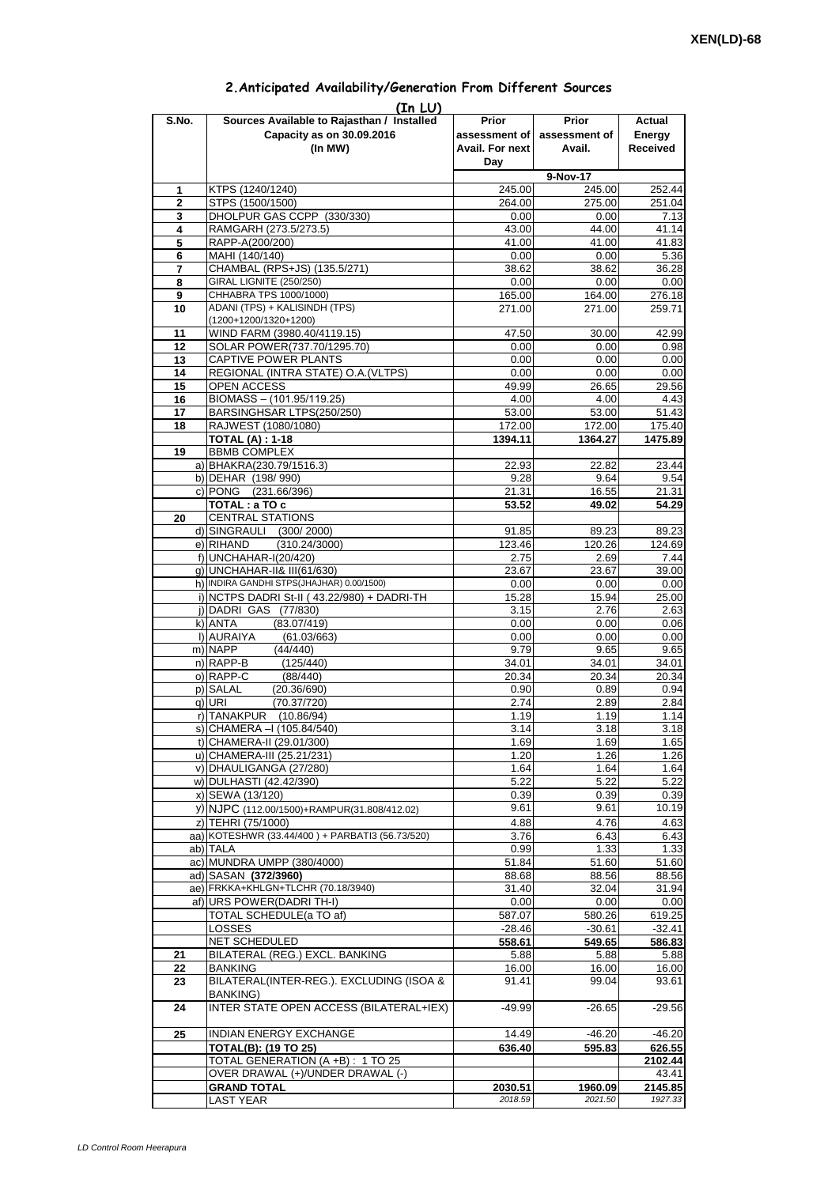|       | (In LU)                                         |                        |                             |                 |
|-------|-------------------------------------------------|------------------------|-----------------------------|-----------------|
| S.No. | Sources Available to Rajasthan / Installed      | Prior                  | Prior                       | Actual          |
|       | Capacity as on 30.09.2016                       |                        | assessment of assessment of | Energy          |
|       | (In MW)                                         | <b>Avail. For next</b> | Avail.                      | <b>Received</b> |
|       |                                                 | Day                    |                             |                 |
|       |                                                 |                        |                             |                 |
|       |                                                 |                        | 9-Nov-17                    |                 |
| 1     | KTPS (1240/1240)                                | 245.00                 | 245.00                      | 252.44          |
| 2     | STPS (1500/1500)                                | 264.00                 | 275.00                      | 251.04          |
| 3     | DHOLPUR GAS CCPP (330/330)                      | 0.00                   | 0.00                        | 7.13            |
| 4     | RAMGARH (273.5/273.5)                           | 43.00                  | 44.00                       | 41.14           |
| 5     | RAPP-A(200/200)                                 | 41.00                  | 41.00                       | 41.83           |
| 6     | MAHI (140/140)                                  | 0.00                   | 0.00                        | 5.36            |
|       |                                                 |                        |                             | 36.28           |
| 7     | CHAMBAL (RPS+JS) (135.5/271)                    | 38.62                  | 38.62                       |                 |
| 8     | <b>GIRAL LIGNITE (250/250)</b>                  | 0.00                   | 0.00                        | 0.00            |
| 9     | CHHABRA TPS 1000/1000)                          | 165.00                 | 164.00                      | 276.18          |
| 10    | ADANI (TPS) + KALISINDH (TPS)                   | 271.00                 | 271.00                      | 259.71          |
|       | (1200+1200/1320+1200)                           |                        |                             |                 |
| 11    | WIND FARM (3980.40/4119.15)                     | 47.50                  | 30.00                       | 42.99           |
| 12    | SOLAR POWER(737.70/1295.70)                     | 0.00                   | 0.00                        | 0.98            |
| 13    | CAPTIVE POWER PLANTS                            | 0.00                   | 0.00                        | 0.00            |
| 14    | REGIONAL (INTRA STATE) O.A. (VLTPS)             | 0.00                   | 0.00                        | 0.00            |
| 15    | <b>OPEN ACCESS</b>                              | 49.99                  | 26.65                       | 29.56           |
|       |                                                 |                        |                             |                 |
| 16    | BIOMASS - (101.95/119.25)                       | 4.00                   | 4.00                        | 4.43            |
| 17    | BARSINGHSAR LTPS(250/250)                       | 53.00                  | 53.00                       | 51.43           |
| 18    | RAJWEST (1080/1080)                             | 172.00                 | 172.00                      | 175.40          |
|       | <b>TOTAL (A) : 1-18</b>                         | 1394.11                | 1364.27                     | 1475.89         |
| 19    | <b>BBMB COMPLEX</b>                             |                        |                             |                 |
|       | a) BHAKRA(230.79/1516.3)                        | 22.93                  | 22.82                       | 23.44           |
|       | b) DEHAR (198/990)                              | 9.28                   | 9.64                        | 9.54            |
|       | c) PONG (231.66/396)                            | 21.31                  | 16.55                       | 21.31           |
|       |                                                 | 53.52                  | 49.02                       | 54.29           |
|       | TOTAL: a TO c                                   |                        |                             |                 |
| 20    | <b>CENTRAL STATIONS</b>                         |                        |                             |                 |
|       | d) SINGRAULI (300/2000)                         | 91.85                  | 89.23                       | 89.23           |
|       | e) RIHAND<br>(310.24/3000)                      | 123.46                 | 120.26                      | 124.69          |
|       | $f)$ UNCHAHAR-I(20/420)                         | 2.75                   | 2.69                        | 7.44            |
|       | g) UNCHAHAR-II& III(61/630)                     | 23.67                  | 23.67                       | 39.00           |
|       | h) INDIRA GANDHI STPS(JHAJHAR) 0.00/1500)       | 0.00                   | 0.00                        | 0.00            |
|       | i) NCTPS DADRI St-II (43.22/980) + DADRI-TH     | 15.28                  | 15.94                       | 25.00           |
|       | j) DADRI GAS (77/830)                           | 3.15                   | 2.76                        | 2.63            |
|       | k) ANTA<br>(83.07/419)                          | 0.00                   | 0.00                        | 0.06            |
|       |                                                 |                        |                             |                 |
|       | I) AURAIYA<br>(61.03/663)                       | 0.00                   | 0.00                        | 0.00            |
|       | m) NAPP<br>(44/440)                             | 9.79                   | 9.65                        | 9.65            |
|       | $n)$ RAPP-B<br>(125/440)                        | 34.01                  | 34.01                       | 34.01           |
|       | o) RAPP-C<br>(88/440)                           | 20.34                  | 20.34                       | 20.34           |
|       | p) SALAL<br>(20.36/690)                         | 0.90                   | 0.89                        | 0.94            |
|       | (70.37/720)<br>q) URI                           | 2.74                   | 2.89                        | 2.84            |
|       | r) TANAKPUR<br>(10.86/94)                       | 1.19                   | 1.19                        | 1.14            |
|       | s) CHAMERA - (105.84/540)                       | 3.14                   | 3.18                        | 3.18            |
|       |                                                 |                        |                             |                 |
|       | t) CHAMERA-II (29.01/300)                       | 1.69                   | 1.69                        | 1.65            |
|       | u) CHAMERA-III (25.21/231)                      | 1.20                   | 1.26                        | 1.26            |
|       | v) DHAULIGANGA (27/280)                         | 1.64                   | 1.64                        | 1.64            |
|       | w) DULHASTI (42.42/390)                         | 5.22                   | 5.22                        | 5.22            |
|       | x) SEWA (13/120)                                | 0.39                   | 0.39                        | 0.39            |
|       | y) NJPC (112.00/1500) + RAMPUR(31.808/412.02)   | 9.61                   | 9.61                        | 10.19           |
|       | z) TEHRI (75/1000)                              | 4.88                   | 4.76                        | 4.63            |
|       | aa) KOTESHWR (33.44/400) + PARBATI3 (56.73/520) | 3.76                   | 6.43                        | 6.43            |
|       |                                                 |                        |                             |                 |
|       | ab) TALA                                        | 0.99                   | 1.33                        | 1.33            |
|       | ac) MUNDRA UMPP (380/4000)                      | 51.84                  | 51.60                       | 51.60           |
|       | ad) SASAN (372/3960)                            | 88.68                  | 88.56                       | 88.56           |
|       | ae) FRKKA+KHLGN+TLCHR (70.18/3940)              | 31.40                  | 32.04                       | 31.94           |
|       | af) URS POWER(DADRI TH-I)                       | 0.00                   | 0.00                        | 0.00            |
|       | TOTAL SCHEDULE(a TO af)                         | 587.07                 | 580.26                      | 619.25          |
|       | LOSSES                                          | $-28.46$               | $-30.61$                    | $-32.41$        |
|       | NET SCHEDULED                                   | 558.61                 | 549.65                      | 586.83          |
| 21    | BILATERAL (REG.) EXCL. BANKING                  | 5.88                   | 5.88                        | 5.88            |
|       |                                                 |                        |                             |                 |
| 22    | <b>BANKING</b>                                  | 16.00                  | 16.00                       | 16.00           |
| 23    | BILATERAL(INTER-REG.). EXCLUDING (ISOA &        | 91.41                  | 99.04                       | 93.61           |
|       | <b>BANKING)</b>                                 |                        |                             |                 |
| 24    | INTER STATE OPEN ACCESS (BILATERAL+IEX)         | -49.99                 | $-26.65$                    | $-29.56$        |
|       |                                                 |                        |                             |                 |
| 25    | <b>INDIAN ENERGY EXCHANGE</b>                   | 14.49                  | $-46.20$                    | $-46.20$        |
|       | <b>TOTAL(B): (19 TO 25)</b>                     | 636.40                 | 595.83                      | 626.55          |
|       | TOTAL GENERATION (A +B) : 1 TO 25               |                        |                             | 2102.44         |
|       |                                                 |                        |                             |                 |
|       | OVER DRAWAL (+)/UNDER DRAWAL (-)                |                        |                             | 43.41           |
|       | <b>GRAND TOTAL</b>                              | 2030.51                | 1960.09                     | 2145.85         |
|       | <b>LAST YEAR</b>                                | 2018.59                | 2021.50                     | 1927.33         |

## **2.Anticipated Availability/Generation From Different Sources**